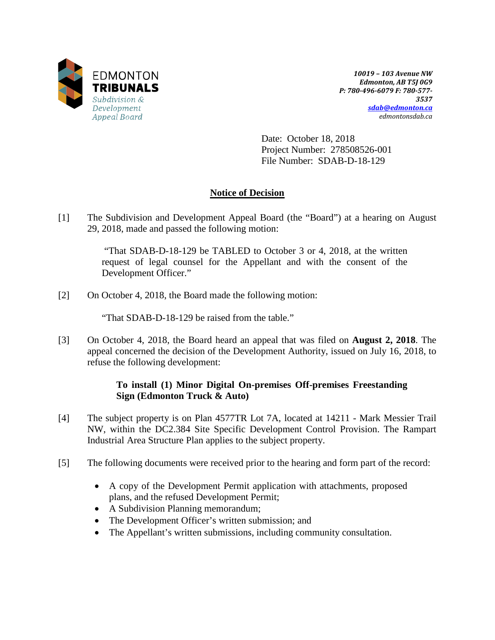

*10019 – 103 Avenue NW Edmonton, AB T5J 0G9 P: 780-496-6079 F: 780-577- 3537 [sdab@edmonton.ca](mailto:sdab@edmonton.ca) edmontonsdab.ca*

Date: October 18, 2018 Project Number: 278508526-001 File Number: SDAB-D-18-129

## **Notice of Decision**

[1] The Subdivision and Development Appeal Board (the "Board") at a hearing on August 29, 2018, made and passed the following motion:

> "That SDAB-D-18-129 be TABLED to October 3 or 4, 2018, at the written request of legal counsel for the Appellant and with the consent of the Development Officer."

[2] On October 4, 2018, the Board made the following motion:

"That SDAB-D-18-129 be raised from the table."

[3] On October 4, 2018, the Board heard an appeal that was filed on **August 2, 2018**. The appeal concerned the decision of the Development Authority, issued on July 16, 2018, to refuse the following development:

### **To install (1) Minor Digital On-premises Off-premises Freestanding Sign (Edmonton Truck & Auto)**

- [4] The subject property is on Plan 4577TR Lot 7A, located at 14211 Mark Messier Trail NW, within the DC2.384 Site Specific Development Control Provision. The Rampart Industrial Area Structure Plan applies to the subject property.
- [5] The following documents were received prior to the hearing and form part of the record:
	- A copy of the Development Permit application with attachments, proposed plans, and the refused Development Permit;
	- A Subdivision Planning memorandum;
	- The Development Officer's written submission; and
	- The Appellant's written submissions, including community consultation.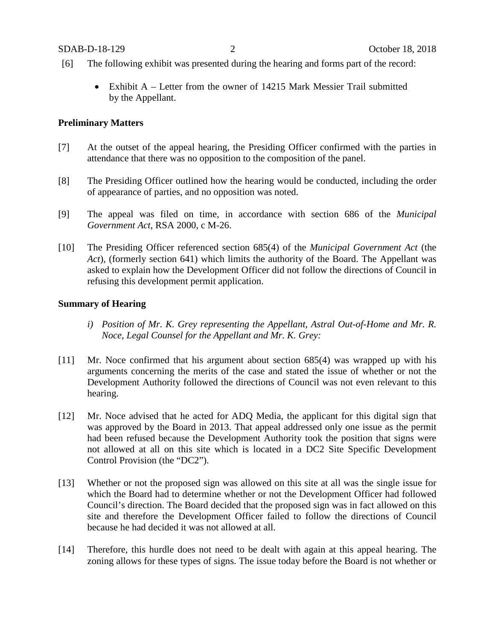- [6] The following exhibit was presented during the hearing and forms part of the record:
	- Exhibit A Letter from the owner of 14215 Mark Messier Trail submitted by the Appellant.

### **Preliminary Matters**

- [7] At the outset of the appeal hearing, the Presiding Officer confirmed with the parties in attendance that there was no opposition to the composition of the panel.
- [8] The Presiding Officer outlined how the hearing would be conducted, including the order of appearance of parties, and no opposition was noted.
- [9] The appeal was filed on time, in accordance with section 686 of the *Municipal Government Act*, RSA 2000, c M-26.
- [10] The Presiding Officer referenced section 685(4) of the *Municipal Government Act* (the *Act*), (formerly section 641) which limits the authority of the Board. The Appellant was asked to explain how the Development Officer did not follow the directions of Council in refusing this development permit application.

#### **Summary of Hearing**

- *i) Position of Mr. K. Grey representing the Appellant, Astral Out-of-Home and Mr. R. Noce, Legal Counsel for the Appellant and Mr. K. Grey:*
- [11] Mr. Noce confirmed that his argument about section 685(4) was wrapped up with his arguments concerning the merits of the case and stated the issue of whether or not the Development Authority followed the directions of Council was not even relevant to this hearing.
- [12] Mr. Noce advised that he acted for ADQ Media, the applicant for this digital sign that was approved by the Board in 2013. That appeal addressed only one issue as the permit had been refused because the Development Authority took the position that signs were not allowed at all on this site which is located in a DC2 Site Specific Development Control Provision (the "DC2").
- [13] Whether or not the proposed sign was allowed on this site at all was the single issue for which the Board had to determine whether or not the Development Officer had followed Council's direction. The Board decided that the proposed sign was in fact allowed on this site and therefore the Development Officer failed to follow the directions of Council because he had decided it was not allowed at all.
- [14] Therefore, this hurdle does not need to be dealt with again at this appeal hearing. The zoning allows for these types of signs. The issue today before the Board is not whether or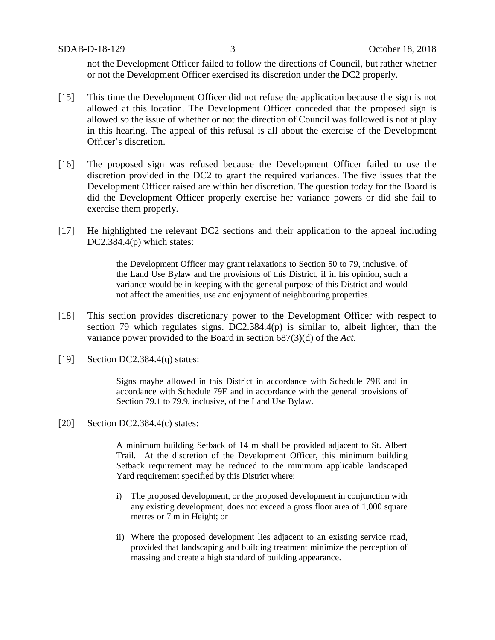SDAB-D-18-129 3 October 18, 2018

not the Development Officer failed to follow the directions of Council, but rather whether or not the Development Officer exercised its discretion under the DC2 properly.

- [15] This time the Development Officer did not refuse the application because the sign is not allowed at this location. The Development Officer conceded that the proposed sign is allowed so the issue of whether or not the direction of Council was followed is not at play in this hearing. The appeal of this refusal is all about the exercise of the Development Officer's discretion.
- [16] The proposed sign was refused because the Development Officer failed to use the discretion provided in the DC2 to grant the required variances. The five issues that the Development Officer raised are within her discretion. The question today for the Board is did the Development Officer properly exercise her variance powers or did she fail to exercise them properly.
- [17] He highlighted the relevant DC2 sections and their application to the appeal including DC2.384.4(p) which states:

the Development Officer may grant relaxations to Section 50 to 79, inclusive, of the Land Use Bylaw and the provisions of this District, if in his opinion, such a variance would be in keeping with the general purpose of this District and would not affect the amenities, use and enjoyment of neighbouring properties.

- [18] This section provides discretionary power to the Development Officer with respect to section 79 which regulates signs. DC2.384.4(p) is similar to, albeit lighter, than the variance power provided to the Board in section 687(3)(d) of the *Act*.
- [19] Section DC2.384.4(q) states:

Signs maybe allowed in this District in accordance with Schedule 79E and in accordance with Schedule 79E and in accordance with the general provisions of Section 79.1 to 79.9, inclusive, of the Land Use Bylaw.

[20] Section DC2.384.4(c) states:

A minimum building Setback of 14 m shall be provided adjacent to St. Albert Trail. At the discretion of the Development Officer, this minimum building Setback requirement may be reduced to the minimum applicable landscaped Yard requirement specified by this District where:

- i) The proposed development, or the proposed development in conjunction with any existing development, does not exceed a gross floor area of 1,000 square metres or 7 m in Height; or
- ii) Where the proposed development lies adjacent to an existing service road, provided that landscaping and building treatment minimize the perception of massing and create a high standard of building appearance.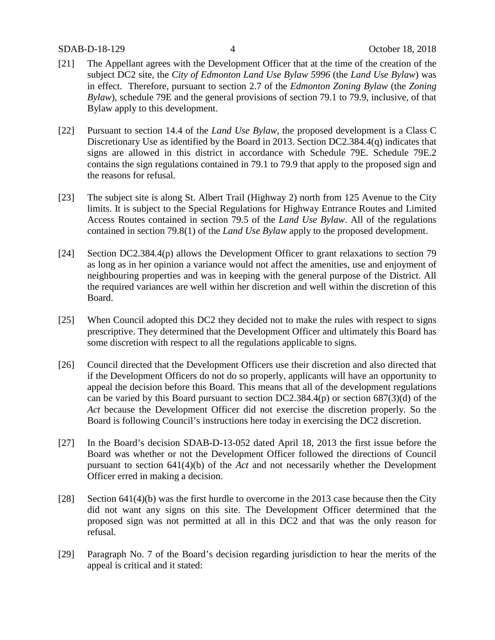- [21] The Appellant agrees with the Development Officer that at the time of the creation of the subject DC2 site, the *City of Edmonton Land Use Bylaw 5996* (the *Land Use Bylaw*) was in effect. Therefore, pursuant to section 2.7 of the *Edmonton Zoning Bylaw* (the *Zoning Bylaw*), schedule 79E and the general provisions of section 79.1 to 79.9, inclusive, of that Bylaw apply to this development.
- [22] Pursuant to section 14.4 of the *Land Use Bylaw*, the proposed development is a Class C Discretionary Use as identified by the Board in 2013. Section DC2.384.4(q) indicates that signs are allowed in this district in accordance with Schedule 79E. Schedule 79E.2 contains the sign regulations contained in 79.1 to 79.9 that apply to the proposed sign and the reasons for refusal.
- [23] The subject site is along St. Albert Trail (Highway 2) north from 125 Avenue to the City limits. It is subject to the Special Regulations for Highway Entrance Routes and Limited Access Routes contained in section 79.5 of the *Land Use Bylaw*. All of the regulations contained in section 79.8(1) of the *Land Use Bylaw* apply to the proposed development.
- [24] Section DC2.384.4(p) allows the Development Officer to grant relaxations to section 79 as long as in her opinion a variance would not affect the amenities, use and enjoyment of neighbouring properties and was in keeping with the general purpose of the District. All the required variances are well within her discretion and well within the discretion of this Board.
- [25] When Council adopted this DC2 they decided not to make the rules with respect to signs prescriptive. They determined that the Development Officer and ultimately this Board has some discretion with respect to all the regulations applicable to signs.
- [26] Council directed that the Development Officers use their discretion and also directed that if the Development Officers do not do so properly, applicants will have an opportunity to appeal the decision before this Board. This means that all of the development regulations can be varied by this Board pursuant to section DC2.384.4(p) or section 687(3)(d) of the *Act* because the Development Officer did not exercise the discretion properly. So the Board is following Council's instructions here today in exercising the DC2 discretion.
- [27] In the Board's decision SDAB-D-13-052 dated April 18, 2013 the first issue before the Board was whether or not the Development Officer followed the directions of Council pursuant to section 641(4)(b) of the *Act* and not necessarily whether the Development Officer erred in making a decision.
- [28] Section 641(4)(b) was the first hurdle to overcome in the 2013 case because then the City did not want any signs on this site. The Development Officer determined that the proposed sign was not permitted at all in this DC2 and that was the only reason for refusal.
- [29] Paragraph No. 7 of the Board's decision regarding jurisdiction to hear the merits of the appeal is critical and it stated: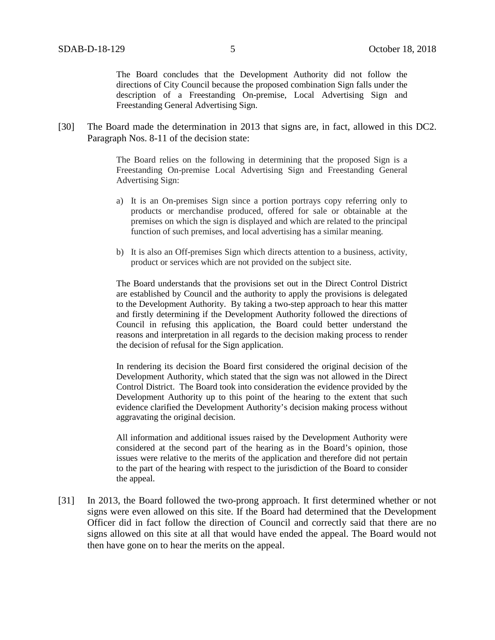The Board concludes that the Development Authority did not follow the directions of City Council because the proposed combination Sign falls under the description of a Freestanding On-premise, Local Advertising Sign and Freestanding General Advertising Sign.

[30] The Board made the determination in 2013 that signs are, in fact, allowed in this DC2. Paragraph Nos. 8-11 of the decision state:

> The Board relies on the following in determining that the proposed Sign is a Freestanding On-premise Local Advertising Sign and Freestanding General Advertising Sign:

- a) It is an On-premises Sign since a portion portrays copy referring only to products or merchandise produced, offered for sale or obtainable at the premises on which the sign is displayed and which are related to the principal function of such premises, and local advertising has a similar meaning.
- b) It is also an Off-premises Sign which directs attention to a business, activity, product or services which are not provided on the subject site.

The Board understands that the provisions set out in the Direct Control District are established by Council and the authority to apply the provisions is delegated to the Development Authority. By taking a two-step approach to hear this matter and firstly determining if the Development Authority followed the directions of Council in refusing this application, the Board could better understand the reasons and interpretation in all regards to the decision making process to render the decision of refusal for the Sign application.

In rendering its decision the Board first considered the original decision of the Development Authority, which stated that the sign was not allowed in the Direct Control District. The Board took into consideration the evidence provided by the Development Authority up to this point of the hearing to the extent that such evidence clarified the Development Authority's decision making process without aggravating the original decision.

All information and additional issues raised by the Development Authority were considered at the second part of the hearing as in the Board's opinion, those issues were relative to the merits of the application and therefore did not pertain to the part of the hearing with respect to the jurisdiction of the Board to consider the appeal.

[31] In 2013, the Board followed the two-prong approach. It first determined whether or not signs were even allowed on this site. If the Board had determined that the Development Officer did in fact follow the direction of Council and correctly said that there are no signs allowed on this site at all that would have ended the appeal. The Board would not then have gone on to hear the merits on the appeal.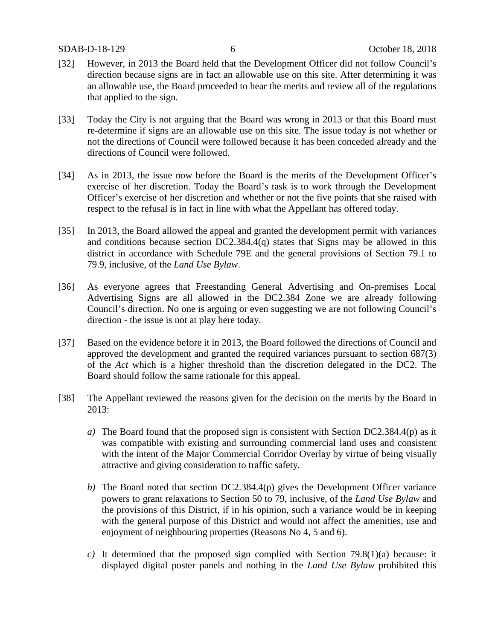- [32] However, in 2013 the Board held that the Development Officer did not follow Council's direction because signs are in fact an allowable use on this site. After determining it was an allowable use, the Board proceeded to hear the merits and review all of the regulations that applied to the sign.
- [33] Today the City is not arguing that the Board was wrong in 2013 or that this Board must re-determine if signs are an allowable use on this site. The issue today is not whether or not the directions of Council were followed because it has been conceded already and the directions of Council were followed.
- [34] As in 2013, the issue now before the Board is the merits of the Development Officer's exercise of her discretion. Today the Board's task is to work through the Development Officer's exercise of her discretion and whether or not the five points that she raised with respect to the refusal is in fact in line with what the Appellant has offered today.
- [35] In 2013, the Board allowed the appeal and granted the development permit with variances and conditions because section DC2.384.4(q) states that Signs may be allowed in this district in accordance with Schedule 79E and the general provisions of Section 79.1 to 79.9, inclusive, of the *Land Use Bylaw*.
- [36] As everyone agrees that Freestanding General Advertising and On-premises Local Advertising Signs are all allowed in the DC2.384 Zone we are already following Council's direction. No one is arguing or even suggesting we are not following Council's direction - the issue is not at play here today.
- [37] Based on the evidence before it in 2013, the Board followed the directions of Council and approved the development and granted the required variances pursuant to section 687(3) of the *Act* which is a higher threshold than the discretion delegated in the DC2. The Board should follow the same rationale for this appeal.
- [38] The Appellant reviewed the reasons given for the decision on the merits by the Board in 2013:
	- *a)* The Board found that the proposed sign is consistent with Section DC2.384.4(p) as it was compatible with existing and surrounding commercial land uses and consistent with the intent of the Major Commercial Corridor Overlay by virtue of being visually attractive and giving consideration to traffic safety.
	- *b)* The Board noted that section DC2.384.4(p) gives the Development Officer variance powers to grant relaxations to Section 50 to 79, inclusive, of the *Land Use Bylaw* and the provisions of this District, if in his opinion, such a variance would be in keeping with the general purpose of this District and would not affect the amenities, use and enjoyment of neighbouring properties (Reasons No 4, 5 and 6).
	- *c)* It determined that the proposed sign complied with Section 79.8(1)(a) because: it displayed digital poster panels and nothing in the *Land Use Bylaw* prohibited this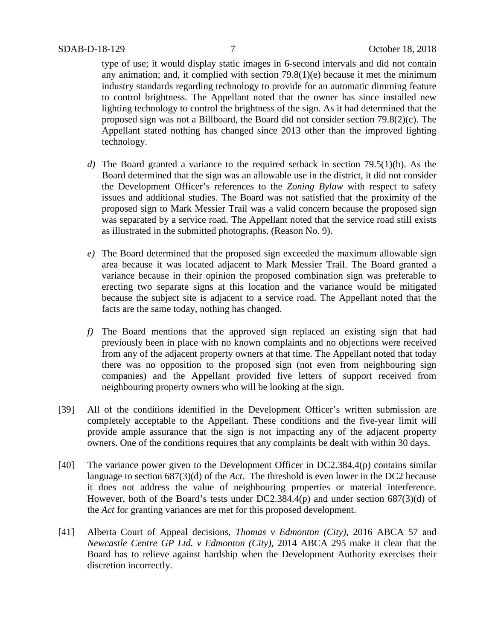type of use; it would display static images in 6-second intervals and did not contain any animation; and, it complied with section 79.8(1)(e) because it met the minimum industry standards regarding technology to provide for an automatic dimming feature to control brightness. The Appellant noted that the owner has since installed new lighting technology to control the brightness of the sign. As it had determined that the proposed sign was not a Billboard, the Board did not consider section 79.8(2)(c). The Appellant stated nothing has changed since 2013 other than the improved lighting technology.

- *d)* The Board granted a variance to the required setback in section 79.5(1)(b). As the Board determined that the sign was an allowable use in the district, it did not consider the Development Officer's references to the *Zoning Bylaw* with respect to safety issues and additional studies. The Board was not satisfied that the proximity of the proposed sign to Mark Messier Trail was a valid concern because the proposed sign was separated by a service road. The Appellant noted that the service road still exists as illustrated in the submitted photographs. (Reason No. 9).
- *e)* The Board determined that the proposed sign exceeded the maximum allowable sign area because it was located adjacent to Mark Messier Trail. The Board granted a variance because in their opinion the proposed combination sign was preferable to erecting two separate signs at this location and the variance would be mitigated because the subject site is adjacent to a service road. The Appellant noted that the facts are the same today, nothing has changed.
- *f)* The Board mentions that the approved sign replaced an existing sign that had previously been in place with no known complaints and no objections were received from any of the adjacent property owners at that time. The Appellant noted that today there was no opposition to the proposed sign (not even from neighbouring sign companies) and the Appellant provided five letters of support received from neighbouring property owners who will be looking at the sign.
- [39] All of the conditions identified in the Development Officer's written submission are completely acceptable to the Appellant. These conditions and the five-year limit will provide ample assurance that the sign is not impacting any of the adjacent property owners. One of the conditions requires that any complaints be dealt with within 30 days.
- [40] The variance power given to the Development Officer in DC2.384.4(p) contains similar language to section 687(3)(d) of the *Act*. The threshold is even lower in the DC2 because it does not address the value of neighbouring properties or material interference. However, both of the Board's tests under DC2.384.4(p) and under section 687(3)(d) of the *Act* for granting variances are met for this proposed development.
- [41] Alberta Court of Appeal decisions, *Thomas v Edmonton (City),* 2016 ABCA 57 and *Newcastle Centre GP Ltd. v Edmonton (City)*, 2014 ABCA 295 make it clear that the Board has to relieve against hardship when the Development Authority exercises their discretion incorrectly.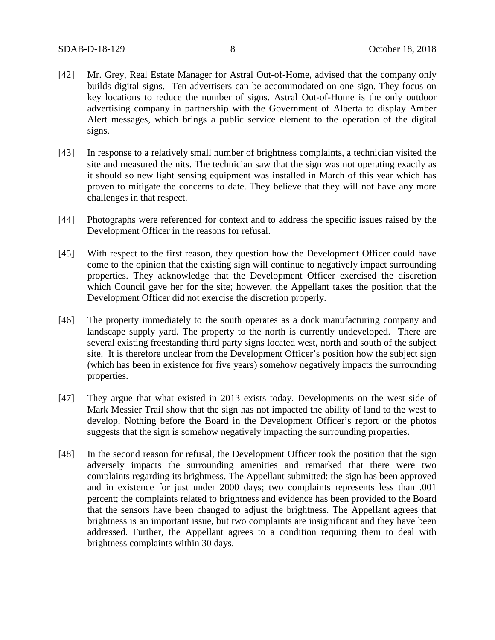- [42] Mr. Grey, Real Estate Manager for Astral Out-of-Home, advised that the company only builds digital signs. Ten advertisers can be accommodated on one sign. They focus on key locations to reduce the number of signs. Astral Out-of-Home is the only outdoor advertising company in partnership with the Government of Alberta to display Amber Alert messages, which brings a public service element to the operation of the digital signs.
- [43] In response to a relatively small number of brightness complaints, a technician visited the site and measured the nits. The technician saw that the sign was not operating exactly as it should so new light sensing equipment was installed in March of this year which has proven to mitigate the concerns to date. They believe that they will not have any more challenges in that respect.
- [44] Photographs were referenced for context and to address the specific issues raised by the Development Officer in the reasons for refusal.
- [45] With respect to the first reason, they question how the Development Officer could have come to the opinion that the existing sign will continue to negatively impact surrounding properties. They acknowledge that the Development Officer exercised the discretion which Council gave her for the site; however, the Appellant takes the position that the Development Officer did not exercise the discretion properly.
- [46] The property immediately to the south operates as a dock manufacturing company and landscape supply yard. The property to the north is currently undeveloped. There are several existing freestanding third party signs located west, north and south of the subject site. It is therefore unclear from the Development Officer's position how the subject sign (which has been in existence for five years) somehow negatively impacts the surrounding properties.
- [47] They argue that what existed in 2013 exists today. Developments on the west side of Mark Messier Trail show that the sign has not impacted the ability of land to the west to develop. Nothing before the Board in the Development Officer's report or the photos suggests that the sign is somehow negatively impacting the surrounding properties.
- [48] In the second reason for refusal, the Development Officer took the position that the sign adversely impacts the surrounding amenities and remarked that there were two complaints regarding its brightness. The Appellant submitted: the sign has been approved and in existence for just under 2000 days; two complaints represents less than .001 percent; the complaints related to brightness and evidence has been provided to the Board that the sensors have been changed to adjust the brightness. The Appellant agrees that brightness is an important issue, but two complaints are insignificant and they have been addressed. Further, the Appellant agrees to a condition requiring them to deal with brightness complaints within 30 days.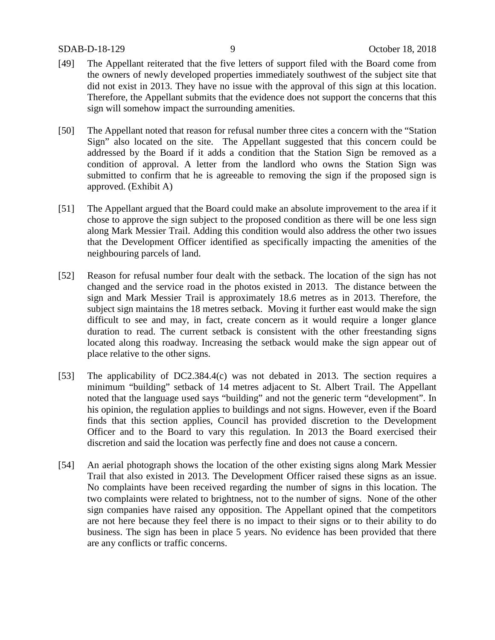- [49] The Appellant reiterated that the five letters of support filed with the Board come from the owners of newly developed properties immediately southwest of the subject site that did not exist in 2013. They have no issue with the approval of this sign at this location. Therefore, the Appellant submits that the evidence does not support the concerns that this sign will somehow impact the surrounding amenities.
- [50] The Appellant noted that reason for refusal number three cites a concern with the "Station Sign" also located on the site. The Appellant suggested that this concern could be addressed by the Board if it adds a condition that the Station Sign be removed as a condition of approval. A letter from the landlord who owns the Station Sign was submitted to confirm that he is agreeable to removing the sign if the proposed sign is approved. (Exhibit A)
- [51] The Appellant argued that the Board could make an absolute improvement to the area if it chose to approve the sign subject to the proposed condition as there will be one less sign along Mark Messier Trail. Adding this condition would also address the other two issues that the Development Officer identified as specifically impacting the amenities of the neighbouring parcels of land.
- [52] Reason for refusal number four dealt with the setback. The location of the sign has not changed and the service road in the photos existed in 2013. The distance between the sign and Mark Messier Trail is approximately 18.6 metres as in 2013. Therefore, the subject sign maintains the 18 metres setback. Moving it further east would make the sign difficult to see and may, in fact, create concern as it would require a longer glance duration to read. The current setback is consistent with the other freestanding signs located along this roadway. Increasing the setback would make the sign appear out of place relative to the other signs.
- [53] The applicability of DC2.384.4(c) was not debated in 2013. The section requires a minimum "building" setback of 14 metres adjacent to St. Albert Trail. The Appellant noted that the language used says "building" and not the generic term "development". In his opinion, the regulation applies to buildings and not signs. However, even if the Board finds that this section applies, Council has provided discretion to the Development Officer and to the Board to vary this regulation. In 2013 the Board exercised their discretion and said the location was perfectly fine and does not cause a concern.
- [54] An aerial photograph shows the location of the other existing signs along Mark Messier Trail that also existed in 2013. The Development Officer raised these signs as an issue. No complaints have been received regarding the number of signs in this location. The two complaints were related to brightness, not to the number of signs. None of the other sign companies have raised any opposition. The Appellant opined that the competitors are not here because they feel there is no impact to their signs or to their ability to do business. The sign has been in place 5 years. No evidence has been provided that there are any conflicts or traffic concerns.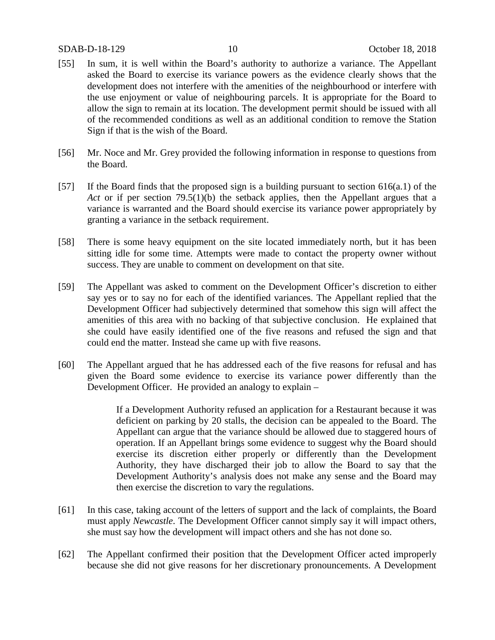#### SDAB-D-18-129 10 October 18, 2018

- [55] In sum, it is well within the Board's authority to authorize a variance. The Appellant asked the Board to exercise its variance powers as the evidence clearly shows that the development does not interfere with the amenities of the neighbourhood or interfere with the use enjoyment or value of neighbouring parcels. It is appropriate for the Board to allow the sign to remain at its location. The development permit should be issued with all of the recommended conditions as well as an additional condition to remove the Station Sign if that is the wish of the Board.
- [56] Mr. Noce and Mr. Grey provided the following information in response to questions from the Board.
- [57] If the Board finds that the proposed sign is a building pursuant to section 616(a.1) of the *Act* or if per section 79.5(1)(b) the setback applies, then the Appellant argues that a variance is warranted and the Board should exercise its variance power appropriately by granting a variance in the setback requirement.
- [58] There is some heavy equipment on the site located immediately north, but it has been sitting idle for some time. Attempts were made to contact the property owner without success. They are unable to comment on development on that site.
- [59] The Appellant was asked to comment on the Development Officer's discretion to either say yes or to say no for each of the identified variances. The Appellant replied that the Development Officer had subjectively determined that somehow this sign will affect the amenities of this area with no backing of that subjective conclusion. He explained that she could have easily identified one of the five reasons and refused the sign and that could end the matter. Instead she came up with five reasons.
- [60] The Appellant argued that he has addressed each of the five reasons for refusal and has given the Board some evidence to exercise its variance power differently than the Development Officer. He provided an analogy to explain –

If a Development Authority refused an application for a Restaurant because it was deficient on parking by 20 stalls, the decision can be appealed to the Board. The Appellant can argue that the variance should be allowed due to staggered hours of operation. If an Appellant brings some evidence to suggest why the Board should exercise its discretion either properly or differently than the Development Authority, they have discharged their job to allow the Board to say that the Development Authority's analysis does not make any sense and the Board may then exercise the discretion to vary the regulations.

- [61] In this case, taking account of the letters of support and the lack of complaints, the Board must apply *Newcastle*. The Development Officer cannot simply say it will impact others, she must say how the development will impact others and she has not done so.
- [62] The Appellant confirmed their position that the Development Officer acted improperly because she did not give reasons for her discretionary pronouncements. A Development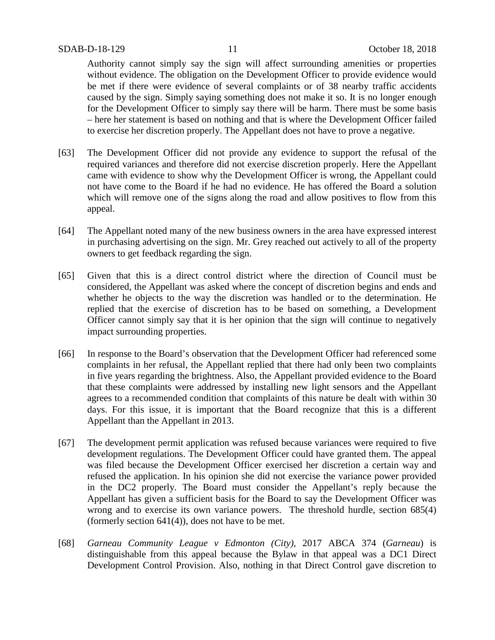Authority cannot simply say the sign will affect surrounding amenities or properties without evidence. The obligation on the Development Officer to provide evidence would be met if there were evidence of several complaints or of 38 nearby traffic accidents caused by the sign. Simply saying something does not make it so. It is no longer enough for the Development Officer to simply say there will be harm. There must be some basis – here her statement is based on nothing and that is where the Development Officer failed to exercise her discretion properly. The Appellant does not have to prove a negative.

- [63] The Development Officer did not provide any evidence to support the refusal of the required variances and therefore did not exercise discretion properly. Here the Appellant came with evidence to show why the Development Officer is wrong, the Appellant could not have come to the Board if he had no evidence. He has offered the Board a solution which will remove one of the signs along the road and allow positives to flow from this appeal.
- [64] The Appellant noted many of the new business owners in the area have expressed interest in purchasing advertising on the sign. Mr. Grey reached out actively to all of the property owners to get feedback regarding the sign.
- [65] Given that this is a direct control district where the direction of Council must be considered, the Appellant was asked where the concept of discretion begins and ends and whether he objects to the way the discretion was handled or to the determination. He replied that the exercise of discretion has to be based on something, a Development Officer cannot simply say that it is her opinion that the sign will continue to negatively impact surrounding properties.
- [66] In response to the Board's observation that the Development Officer had referenced some complaints in her refusal, the Appellant replied that there had only been two complaints in five years regarding the brightness. Also, the Appellant provided evidence to the Board that these complaints were addressed by installing new light sensors and the Appellant agrees to a recommended condition that complaints of this nature be dealt with within 30 days. For this issue, it is important that the Board recognize that this is a different Appellant than the Appellant in 2013.
- [67] The development permit application was refused because variances were required to five development regulations. The Development Officer could have granted them. The appeal was filed because the Development Officer exercised her discretion a certain way and refused the application. In his opinion she did not exercise the variance power provided in the DC2 properly. The Board must consider the Appellant's reply because the Appellant has given a sufficient basis for the Board to say the Development Officer was wrong and to exercise its own variance powers. The threshold hurdle, section 685(4) (formerly section 641(4)), does not have to be met.
- [68] *Garneau Community League v Edmonton (City),* 2017 ABCA 374 (*Garneau*) is distinguishable from this appeal because the Bylaw in that appeal was a DC1 Direct Development Control Provision. Also, nothing in that Direct Control gave discretion to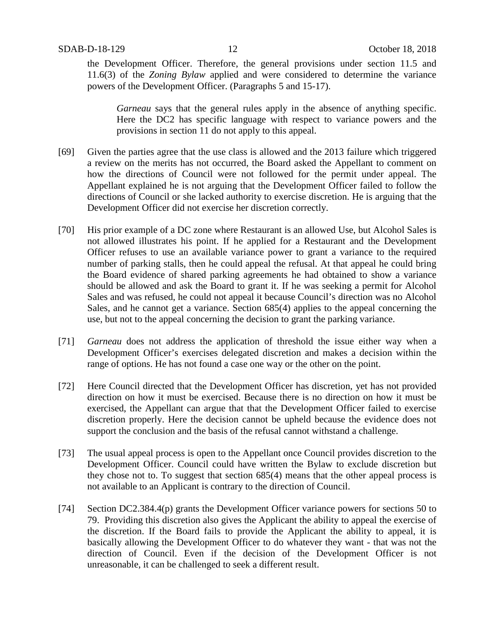the Development Officer. Therefore, the general provisions under section 11.5 and 11.6(3) of the *Zoning Bylaw* applied and were considered to determine the variance powers of the Development Officer. (Paragraphs 5 and 15-17).

*Garneau* says that the general rules apply in the absence of anything specific. Here the DC2 has specific language with respect to variance powers and the provisions in section 11 do not apply to this appeal.

- [69] Given the parties agree that the use class is allowed and the 2013 failure which triggered a review on the merits has not occurred, the Board asked the Appellant to comment on how the directions of Council were not followed for the permit under appeal. The Appellant explained he is not arguing that the Development Officer failed to follow the directions of Council or she lacked authority to exercise discretion. He is arguing that the Development Officer did not exercise her discretion correctly.
- [70] His prior example of a DC zone where Restaurant is an allowed Use, but Alcohol Sales is not allowed illustrates his point. If he applied for a Restaurant and the Development Officer refuses to use an available variance power to grant a variance to the required number of parking stalls, then he could appeal the refusal. At that appeal he could bring the Board evidence of shared parking agreements he had obtained to show a variance should be allowed and ask the Board to grant it. If he was seeking a permit for Alcohol Sales and was refused, he could not appeal it because Council's direction was no Alcohol Sales, and he cannot get a variance. Section 685(4) applies to the appeal concerning the use, but not to the appeal concerning the decision to grant the parking variance.
- [71] *Garneau* does not address the application of threshold the issue either way when a Development Officer's exercises delegated discretion and makes a decision within the range of options. He has not found a case one way or the other on the point.
- [72] Here Council directed that the Development Officer has discretion, yet has not provided direction on how it must be exercised. Because there is no direction on how it must be exercised, the Appellant can argue that that the Development Officer failed to exercise discretion properly. Here the decision cannot be upheld because the evidence does not support the conclusion and the basis of the refusal cannot withstand a challenge.
- [73] The usual appeal process is open to the Appellant once Council provides discretion to the Development Officer. Council could have written the Bylaw to exclude discretion but they chose not to. To suggest that section 685(4) means that the other appeal process is not available to an Applicant is contrary to the direction of Council.
- [74] Section DC2.384.4(p) grants the Development Officer variance powers for sections 50 to 79. Providing this discretion also gives the Applicant the ability to appeal the exercise of the discretion. If the Board fails to provide the Applicant the ability to appeal, it is basically allowing the Development Officer to do whatever they want - that was not the direction of Council. Even if the decision of the Development Officer is not unreasonable, it can be challenged to seek a different result.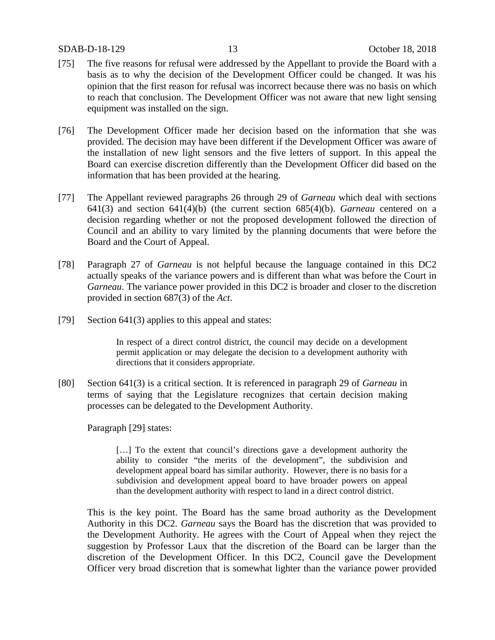#### SDAB-D-18-129 13 October 18, 2018

- [75] The five reasons for refusal were addressed by the Appellant to provide the Board with a basis as to why the decision of the Development Officer could be changed. It was his opinion that the first reason for refusal was incorrect because there was no basis on which to reach that conclusion. The Development Officer was not aware that new light sensing equipment was installed on the sign.
- [76] The Development Officer made her decision based on the information that she was provided. The decision may have been different if the Development Officer was aware of the installation of new light sensors and the five letters of support. In this appeal the Board can exercise discretion differently than the Development Officer did based on the information that has been provided at the hearing.
- [77] The Appellant reviewed paragraphs 26 through 29 of *Garneau* which deal with sections 641(3) and section 641(4)(b) (the current section 685(4)(b). *Garneau* centered on a decision regarding whether or not the proposed development followed the direction of Council and an ability to vary limited by the planning documents that were before the Board and the Court of Appeal.
- [78] Paragraph 27 of *Garneau* is not helpful because the language contained in this DC2 actually speaks of the variance powers and is different than what was before the Court in *Garneau*. The variance power provided in this DC2 is broader and closer to the discretion provided in section 687(3) of the *Act*.
- [79] Section 641(3) applies to this appeal and states:

In respect of a direct control district, the council may decide on a development permit application or may delegate the decision to a development authority with directions that it considers appropriate.

[80] Section 641(3) is a critical section. It is referenced in paragraph 29 of *Garneau* in terms of saying that the Legislature recognizes that certain decision making processes can be delegated to the Development Authority.

Paragraph [29] states:

[...] To the extent that council's directions gave a development authority the ability to consider "the merits of the development", the subdivision and development appeal board has similar authority. However, there is no basis for a subdivision and development appeal board to have broader powers on appeal than the development authority with respect to land in a direct control district.

This is the key point. The Board has the same broad authority as the Development Authority in this DC2. *Garneau* says the Board has the discretion that was provided to the Development Authority. He agrees with the Court of Appeal when they reject the suggestion by Professor Laux that the discretion of the Board can be larger than the discretion of the Development Officer. In this DC2, Council gave the Development Officer very broad discretion that is somewhat lighter than the variance power provided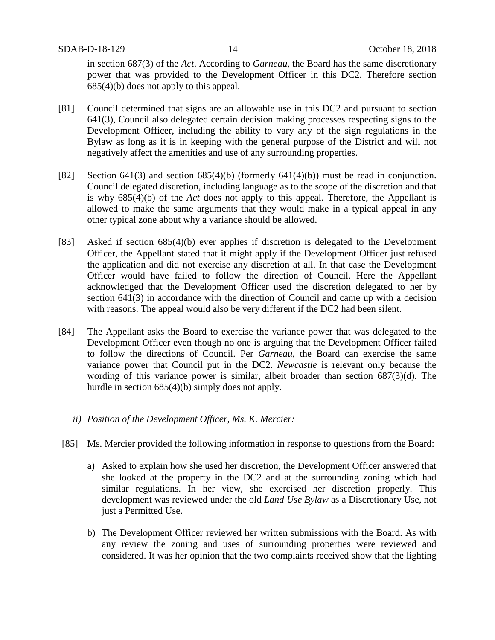in section 687(3) of the *Act*. According to *Garneau*, the Board has the same discretionary power that was provided to the Development Officer in this DC2. Therefore section 685(4)(b) does not apply to this appeal.

- [81] Council determined that signs are an allowable use in this DC2 and pursuant to section 641(3), Council also delegated certain decision making processes respecting signs to the Development Officer, including the ability to vary any of the sign regulations in the Bylaw as long as it is in keeping with the general purpose of the District and will not negatively affect the amenities and use of any surrounding properties.
- [82] Section 641(3) and section 685(4)(b) (formerly 641(4)(b)) must be read in conjunction. Council delegated discretion, including language as to the scope of the discretion and that is why 685(4)(b) of the *Act* does not apply to this appeal. Therefore, the Appellant is allowed to make the same arguments that they would make in a typical appeal in any other typical zone about why a variance should be allowed.
- [83] Asked if section 685(4)(b) ever applies if discretion is delegated to the Development Officer, the Appellant stated that it might apply if the Development Officer just refused the application and did not exercise any discretion at all. In that case the Development Officer would have failed to follow the direction of Council. Here the Appellant acknowledged that the Development Officer used the discretion delegated to her by section 641(3) in accordance with the direction of Council and came up with a decision with reasons. The appeal would also be very different if the DC2 had been silent.
- [84] The Appellant asks the Board to exercise the variance power that was delegated to the Development Officer even though no one is arguing that the Development Officer failed to follow the directions of Council. Per *Garneau*, the Board can exercise the same variance power that Council put in the DC2. *Newcastle* is relevant only because the wording of this variance power is similar, albeit broader than section 687(3)(d). The hurdle in section 685(4)(b) simply does not apply.
	- *ii) Position of the Development Officer, Ms. K. Mercier:*
- [85] Ms. Mercier provided the following information in response to questions from the Board:
	- a) Asked to explain how she used her discretion, the Development Officer answered that she looked at the property in the DC2 and at the surrounding zoning which had similar regulations. In her view, she exercised her discretion properly. This development was reviewed under the old *Land Use Bylaw* as a Discretionary Use, not just a Permitted Use.
	- b) The Development Officer reviewed her written submissions with the Board. As with any review the zoning and uses of surrounding properties were reviewed and considered. It was her opinion that the two complaints received show that the lighting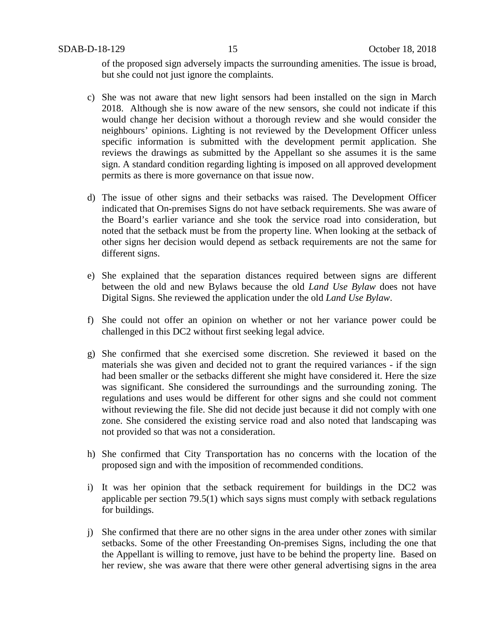of the proposed sign adversely impacts the surrounding amenities. The issue is broad, but she could not just ignore the complaints.

- c) She was not aware that new light sensors had been installed on the sign in March 2018. Although she is now aware of the new sensors, she could not indicate if this would change her decision without a thorough review and she would consider the neighbours' opinions. Lighting is not reviewed by the Development Officer unless specific information is submitted with the development permit application. She reviews the drawings as submitted by the Appellant so she assumes it is the same sign. A standard condition regarding lighting is imposed on all approved development permits as there is more governance on that issue now.
- d) The issue of other signs and their setbacks was raised. The Development Officer indicated that On-premises Signs do not have setback requirements. She was aware of the Board's earlier variance and she took the service road into consideration, but noted that the setback must be from the property line. When looking at the setback of other signs her decision would depend as setback requirements are not the same for different signs.
- e) She explained that the separation distances required between signs are different between the old and new Bylaws because the old *Land Use Bylaw* does not have Digital Signs. She reviewed the application under the old *Land Use Bylaw*.
- f) She could not offer an opinion on whether or not her variance power could be challenged in this DC2 without first seeking legal advice.
- g) She confirmed that she exercised some discretion. She reviewed it based on the materials she was given and decided not to grant the required variances - if the sign had been smaller or the setbacks different she might have considered it. Here the size was significant. She considered the surroundings and the surrounding zoning. The regulations and uses would be different for other signs and she could not comment without reviewing the file. She did not decide just because it did not comply with one zone. She considered the existing service road and also noted that landscaping was not provided so that was not a consideration.
- h) She confirmed that City Transportation has no concerns with the location of the proposed sign and with the imposition of recommended conditions.
- i) It was her opinion that the setback requirement for buildings in the DC2 was applicable per section 79.5(1) which says signs must comply with setback regulations for buildings.
- j) She confirmed that there are no other signs in the area under other zones with similar setbacks. Some of the other Freestanding On-premises Signs, including the one that the Appellant is willing to remove, just have to be behind the property line. Based on her review, she was aware that there were other general advertising signs in the area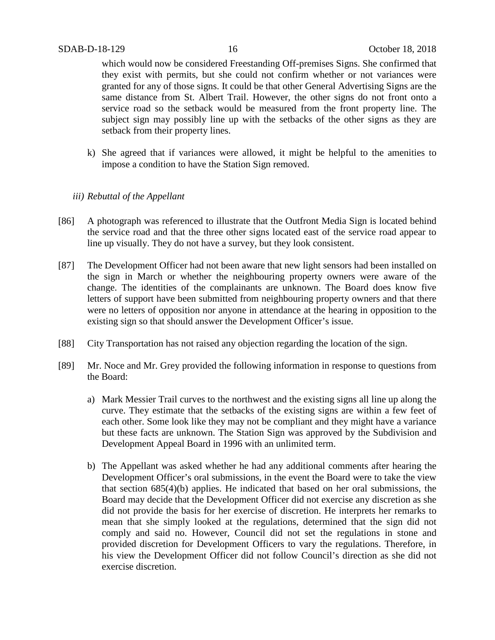which would now be considered Freestanding Off-premises Signs. She confirmed that they exist with permits, but she could not confirm whether or not variances were granted for any of those signs. It could be that other General Advertising Signs are the same distance from St. Albert Trail. However, the other signs do not front onto a service road so the setback would be measured from the front property line. The subject sign may possibly line up with the setbacks of the other signs as they are setback from their property lines.

k) She agreed that if variances were allowed, it might be helpful to the amenities to impose a condition to have the Station Sign removed.

#### *iii) Rebuttal of the Appellant*

- [86] A photograph was referenced to illustrate that the Outfront Media Sign is located behind the service road and that the three other signs located east of the service road appear to line up visually. They do not have a survey, but they look consistent.
- [87] The Development Officer had not been aware that new light sensors had been installed on the sign in March or whether the neighbouring property owners were aware of the change. The identities of the complainants are unknown. The Board does know five letters of support have been submitted from neighbouring property owners and that there were no letters of opposition nor anyone in attendance at the hearing in opposition to the existing sign so that should answer the Development Officer's issue.
- [88] City Transportation has not raised any objection regarding the location of the sign.
- [89] Mr. Noce and Mr. Grey provided the following information in response to questions from the Board:
	- a) Mark Messier Trail curves to the northwest and the existing signs all line up along the curve. They estimate that the setbacks of the existing signs are within a few feet of each other. Some look like they may not be compliant and they might have a variance but these facts are unknown. The Station Sign was approved by the Subdivision and Development Appeal Board in 1996 with an unlimited term.
	- b) The Appellant was asked whether he had any additional comments after hearing the Development Officer's oral submissions, in the event the Board were to take the view that section 685(4)(b) applies. He indicated that based on her oral submissions, the Board may decide that the Development Officer did not exercise any discretion as she did not provide the basis for her exercise of discretion. He interprets her remarks to mean that she simply looked at the regulations, determined that the sign did not comply and said no. However, Council did not set the regulations in stone and provided discretion for Development Officers to vary the regulations. Therefore, in his view the Development Officer did not follow Council's direction as she did not exercise discretion.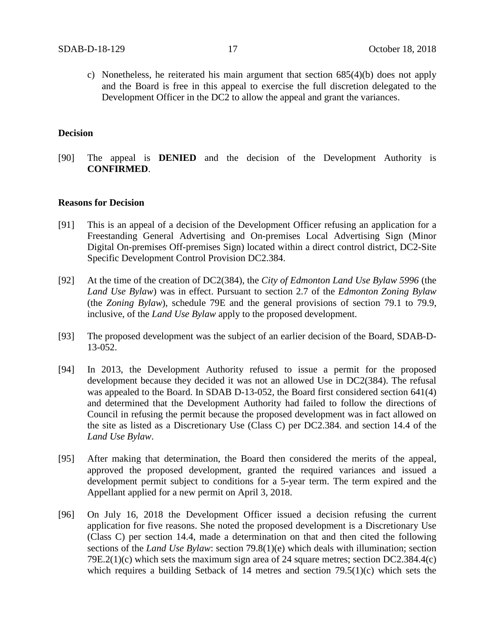c) Nonetheless, he reiterated his main argument that section 685(4)(b) does not apply and the Board is free in this appeal to exercise the full discretion delegated to the Development Officer in the DC2 to allow the appeal and grant the variances.

### **Decision**

[90] The appeal is **DENIED** and the decision of the Development Authority is **CONFIRMED**.

#### **Reasons for Decision**

- [91] This is an appeal of a decision of the Development Officer refusing an application for a Freestanding General Advertising and On-premises Local Advertising Sign (Minor Digital On-premises Off-premises Sign) located within a direct control district, DC2-Site Specific Development Control Provision DC2.384.
- [92] At the time of the creation of DC2(384), the *City of Edmonton Land Use Bylaw 5996* (the *Land Use Bylaw*) was in effect. Pursuant to section 2.7 of the *Edmonton Zoning Bylaw* (the *Zoning Bylaw*), schedule 79E and the general provisions of section 79.1 to 79.9, inclusive, of the *Land Use Bylaw* apply to the proposed development.
- [93] The proposed development was the subject of an earlier decision of the Board, SDAB-D-13-052.
- [94] In 2013, the Development Authority refused to issue a permit for the proposed development because they decided it was not an allowed Use in DC2(384). The refusal was appealed to the Board. In SDAB D-13-052, the Board first considered section 641(4) and determined that the Development Authority had failed to follow the directions of Council in refusing the permit because the proposed development was in fact allowed on the site as listed as a Discretionary Use (Class C) per DC2.384. and section 14.4 of the *Land Use Bylaw*.
- [95] After making that determination, the Board then considered the merits of the appeal, approved the proposed development, granted the required variances and issued a development permit subject to conditions for a 5-year term. The term expired and the Appellant applied for a new permit on April 3, 2018.
- [96] On July 16, 2018 the Development Officer issued a decision refusing the current application for five reasons. She noted the proposed development is a Discretionary Use (Class C) per section 14.4, made a determination on that and then cited the following sections of the *Land Use Bylaw*: section 79.8(1)(e) which deals with illumination; section 79E.2(1)(c) which sets the maximum sign area of 24 square metres; section DC2.384.4(c) which requires a building Setback of 14 metres and section 79.5(1)(c) which sets the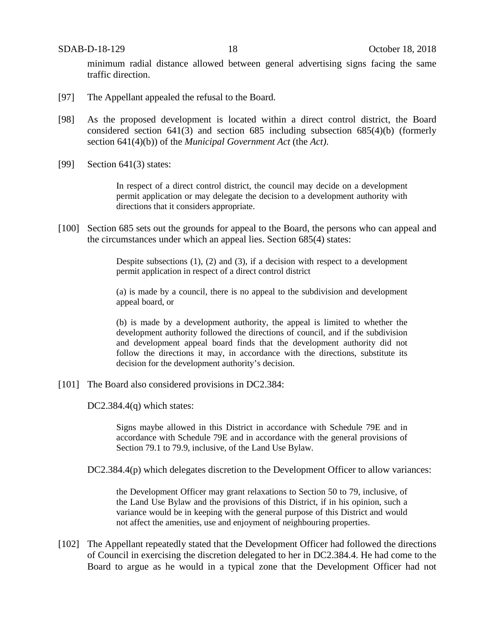SDAB-D-18-129 18 October 18, 2018

minimum radial distance allowed between general advertising signs facing the same traffic direction.

- [97] The Appellant appealed the refusal to the Board.
- [98] As the proposed development is located within a direct control district, the Board considered section 641(3) and section 685 including subsection 685(4)(b) (formerly section 641(4)(b)) of the *Municipal Government Act* (the *Act)*.
- [99] Section 641(3) states:

In respect of a direct control district, the council may decide on a development permit application or may delegate the decision to a development authority with directions that it considers appropriate.

[100] Section 685 sets out the grounds for appeal to the Board, the persons who can appeal and the circumstances under which an appeal lies. Section 685(4) states:

> Despite subsections (1), (2) and (3), if a decision with respect to a development permit application in respect of a direct control district

> (a) is made by a council, there is no appeal to the subdivision and development appeal board, or

> (b) is made by a development authority, the appeal is limited to whether the development authority followed the directions of council, and if the subdivision and development appeal board finds that the development authority did not follow the directions it may, in accordance with the directions, substitute its decision for the development authority's decision.

[101] The Board also considered provisions in DC2.384:

DC2.384.4(q) which states:

Signs maybe allowed in this District in accordance with Schedule 79E and in accordance with Schedule 79E and in accordance with the general provisions of Section 79.1 to 79.9, inclusive, of the Land Use Bylaw.

DC2.384.4(p) which delegates discretion to the Development Officer to allow variances:

the Development Officer may grant relaxations to Section 50 to 79, inclusive, of the Land Use Bylaw and the provisions of this District, if in his opinion, such a variance would be in keeping with the general purpose of this District and would not affect the amenities, use and enjoyment of neighbouring properties.

[102] The Appellant repeatedly stated that the Development Officer had followed the directions of Council in exercising the discretion delegated to her in DC2.384.4. He had come to the Board to argue as he would in a typical zone that the Development Officer had not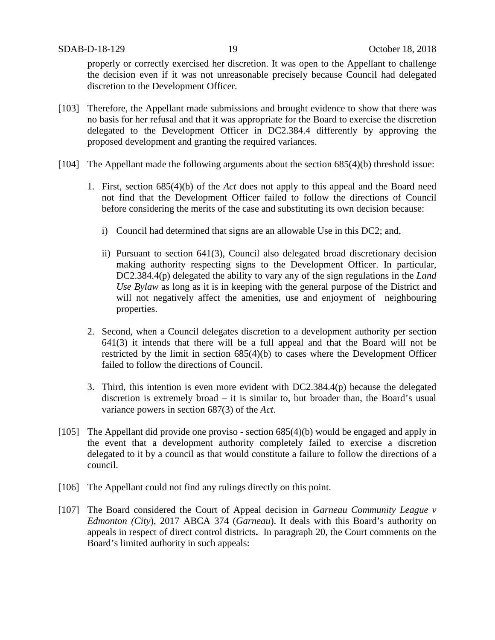properly or correctly exercised her discretion. It was open to the Appellant to challenge the decision even if it was not unreasonable precisely because Council had delegated discretion to the Development Officer.

- [103] Therefore, the Appellant made submissions and brought evidence to show that there was no basis for her refusal and that it was appropriate for the Board to exercise the discretion delegated to the Development Officer in DC2.384.4 differently by approving the proposed development and granting the required variances.
- [104] The Appellant made the following arguments about the section 685(4)(b) threshold issue:
	- 1. First, section 685(4)(b) of the *Act* does not apply to this appeal and the Board need not find that the Development Officer failed to follow the directions of Council before considering the merits of the case and substituting its own decision because:
		- i) Council had determined that signs are an allowable Use in this DC2; and,
		- ii) Pursuant to section 641(3), Council also delegated broad discretionary decision making authority respecting signs to the Development Officer. In particular, DC2.384.4(p) delegated the ability to vary any of the sign regulations in the *Land Use Bylaw* as long as it is in keeping with the general purpose of the District and will not negatively affect the amenities, use and enjoyment of neighbouring properties.
	- 2. Second, when a Council delegates discretion to a development authority per section 641(3) it intends that there will be a full appeal and that the Board will not be restricted by the limit in section 685(4)(b) to cases where the Development Officer failed to follow the directions of Council.
	- 3. Third, this intention is even more evident with DC2.384.4(p) because the delegated discretion is extremely broad – it is similar to, but broader than, the Board's usual variance powers in section 687(3) of the *Act*.
- [105] The Appellant did provide one proviso section 685(4)(b) would be engaged and apply in the event that a development authority completely failed to exercise a discretion delegated to it by a council as that would constitute a failure to follow the directions of a council.
- [106] The Appellant could not find any rulings directly on this point.
- [107] The Board considered the Court of Appeal decision in *Garneau Community League v Edmonton (City*), 2017 ABCA 374 (*Garneau*). It deals with this Board's authority on appeals in respect of direct control districts**.** In paragraph 20, the Court comments on the Board's limited authority in such appeals: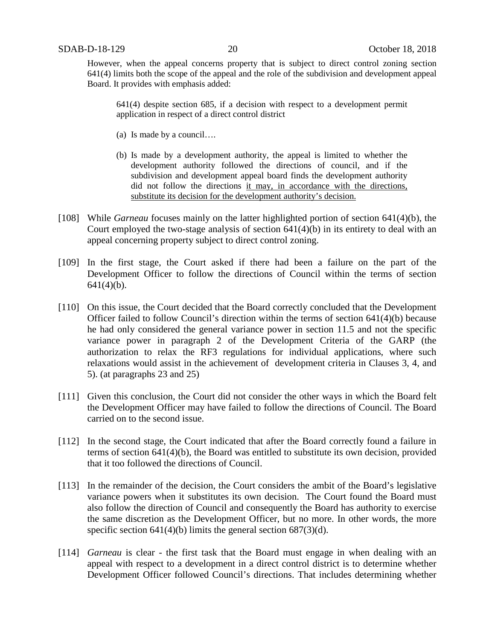However, when the appeal concerns property that is subject to direct control zoning section 641(4) limits both the scope of the appeal and the role of the subdivision and development appeal Board. It provides with emphasis added:

641(4) despite section 685, if a decision with respect to a development permit application in respect of a direct control district

- (a) Is made by a council….
- (b) Is made by a development authority, the appeal is limited to whether the development authority followed the directions of council, and if the subdivision and development appeal board finds the development authority did not follow the directions it may, in accordance with the directions, substitute its decision for the development authority's decision.
- [108] While *Garneau* focuses mainly on the latter highlighted portion of section 641(4)(b), the Court employed the two-stage analysis of section 641(4)(b) in its entirety to deal with an appeal concerning property subject to direct control zoning.
- [109] In the first stage, the Court asked if there had been a failure on the part of the Development Officer to follow the directions of Council within the terms of section  $641(4)(b)$ .
- [110] On this issue, the Court decided that the Board correctly concluded that the Development Officer failed to follow Council's direction within the terms of section  $641(4)(b)$  because he had only considered the general variance power in section 11.5 and not the specific variance power in paragraph 2 of the Development Criteria of the GARP (the authorization to relax the RF3 regulations for individual applications, where such relaxations would assist in the achievement of development criteria in Clauses 3, 4, and 5). (at paragraphs 23 and 25)
- [111] Given this conclusion, the Court did not consider the other ways in which the Board felt the Development Officer may have failed to follow the directions of Council. The Board carried on to the second issue.
- [112] In the second stage, the Court indicated that after the Board correctly found a failure in terms of section 641(4)(b), the Board was entitled to substitute its own decision, provided that it too followed the directions of Council.
- [113] In the remainder of the decision, the Court considers the ambit of the Board's legislative variance powers when it substitutes its own decision. The Court found the Board must also follow the direction of Council and consequently the Board has authority to exercise the same discretion as the Development Officer, but no more. In other words, the more specific section 641(4)(b) limits the general section 687(3)(d).
- [114] *Garneau* is clear the first task that the Board must engage in when dealing with an appeal with respect to a development in a direct control district is to determine whether Development Officer followed Council's directions. That includes determining whether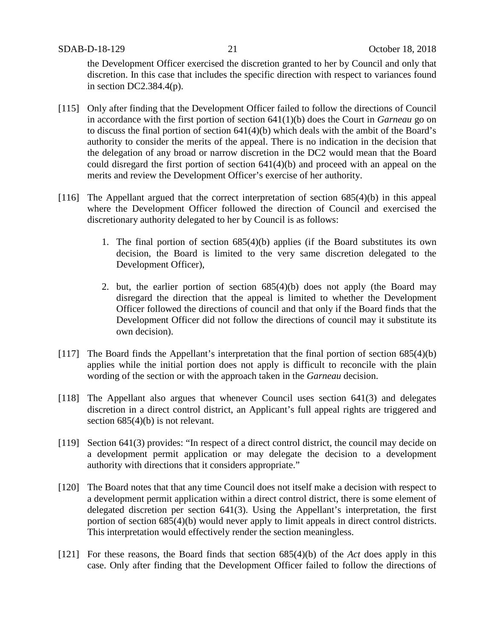the Development Officer exercised the discretion granted to her by Council and only that discretion. In this case that includes the specific direction with respect to variances found in section DC2.384.4(p).

- [115] Only after finding that the Development Officer failed to follow the directions of Council in accordance with the first portion of section 641(1)(b) does the Court in *Garneau* go on to discuss the final portion of section 641(4)(b) which deals with the ambit of the Board's authority to consider the merits of the appeal. There is no indication in the decision that the delegation of any broad or narrow discretion in the DC2 would mean that the Board could disregard the first portion of section 641(4)(b) and proceed with an appeal on the merits and review the Development Officer's exercise of her authority.
- [116] The Appellant argued that the correct interpretation of section 685(4)(b) in this appeal where the Development Officer followed the direction of Council and exercised the discretionary authority delegated to her by Council is as follows:
	- 1. The final portion of section 685(4)(b) applies (if the Board substitutes its own decision, the Board is limited to the very same discretion delegated to the Development Officer),
	- 2. but, the earlier portion of section 685(4)(b) does not apply (the Board may disregard the direction that the appeal is limited to whether the Development Officer followed the directions of council and that only if the Board finds that the Development Officer did not follow the directions of council may it substitute its own decision).
- [117] The Board finds the Appellant's interpretation that the final portion of section 685(4)(b) applies while the initial portion does not apply is difficult to reconcile with the plain wording of the section or with the approach taken in the *Garneau* decision.
- [118] The Appellant also argues that whenever Council uses section 641(3) and delegates discretion in a direct control district, an Applicant's full appeal rights are triggered and section  $685(4)(b)$  is not relevant.
- [119] Section 641(3) provides: "In respect of a direct control district, the council may decide on a development permit application or may delegate the decision to a development authority with directions that it considers appropriate."
- [120] The Board notes that that any time Council does not itself make a decision with respect to a development permit application within a direct control district, there is some element of delegated discretion per section 641(3). Using the Appellant's interpretation, the first portion of section 685(4)(b) would never apply to limit appeals in direct control districts. This interpretation would effectively render the section meaningless.
- [121] For these reasons, the Board finds that section 685(4)(b) of the *Act* does apply in this case. Only after finding that the Development Officer failed to follow the directions of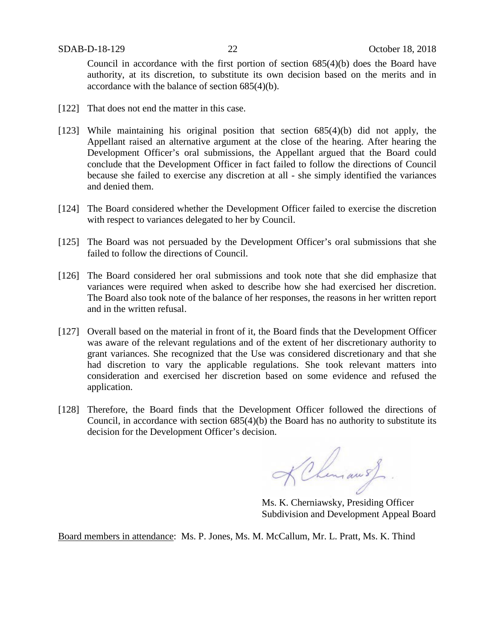Council in accordance with the first portion of section 685(4)(b) does the Board have authority, at its discretion, to substitute its own decision based on the merits and in accordance with the balance of section 685(4)(b).

- [122] That does not end the matter in this case.
- [123] While maintaining his original position that section 685(4)(b) did not apply, the Appellant raised an alternative argument at the close of the hearing. After hearing the Development Officer's oral submissions, the Appellant argued that the Board could conclude that the Development Officer in fact failed to follow the directions of Council because she failed to exercise any discretion at all - she simply identified the variances and denied them.
- [124] The Board considered whether the Development Officer failed to exercise the discretion with respect to variances delegated to her by Council.
- [125] The Board was not persuaded by the Development Officer's oral submissions that she failed to follow the directions of Council.
- [126] The Board considered her oral submissions and took note that she did emphasize that variances were required when asked to describe how she had exercised her discretion. The Board also took note of the balance of her responses, the reasons in her written report and in the written refusal.
- [127] Overall based on the material in front of it, the Board finds that the Development Officer was aware of the relevant regulations and of the extent of her discretionary authority to grant variances. She recognized that the Use was considered discretionary and that she had discretion to vary the applicable regulations. She took relevant matters into consideration and exercised her discretion based on some evidence and refused the application.
- [128] Therefore, the Board finds that the Development Officer followed the directions of Council, in accordance with section 685(4)(b) the Board has no authority to substitute its decision for the Development Officer's decision.

Khemans

Ms. K. Cherniawsky, Presiding Officer Subdivision and Development Appeal Board

Board members in attendance: Ms. P. Jones, Ms. M. McCallum, Mr. L. Pratt, Ms. K. Thind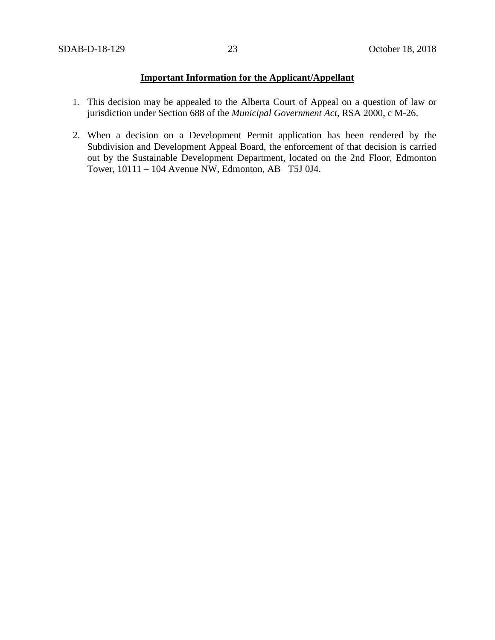### **Important Information for the Applicant/Appellant**

- 1. This decision may be appealed to the Alberta Court of Appeal on a question of law or jurisdiction under Section 688 of the *Municipal Government Act*, RSA 2000, c M-26.
- 2. When a decision on a Development Permit application has been rendered by the Subdivision and Development Appeal Board, the enforcement of that decision is carried out by the Sustainable Development Department, located on the 2nd Floor, Edmonton Tower, 10111 – 104 Avenue NW, Edmonton, AB T5J 0J4.